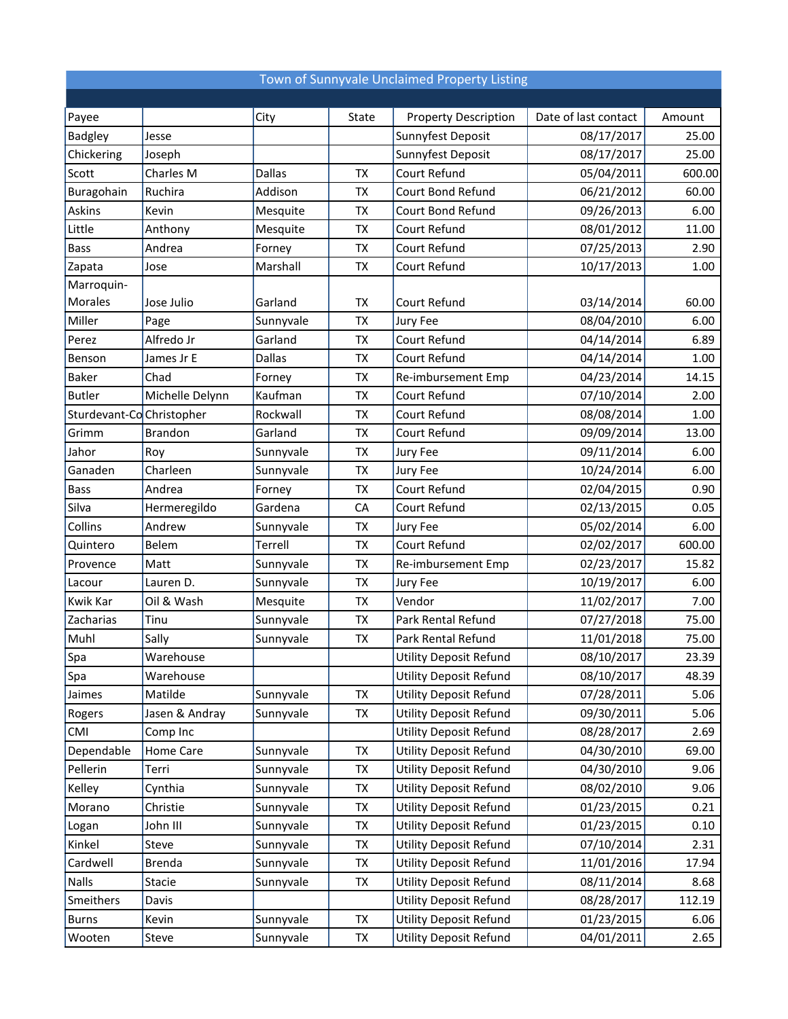## Town of Sunnyvale Unclaimed Property Listing

| Payee                    |                  | City          | State     | <b>Property Description</b>   | Date of last contact | Amount |
|--------------------------|------------------|---------------|-----------|-------------------------------|----------------------|--------|
| <b>Badgley</b>           | Jesse            |               |           | Sunnyfest Deposit             | 08/17/2017           | 25.00  |
| Chickering               | Joseph           |               |           | Sunnyfest Deposit             | 08/17/2017           | 25.00  |
| Scott                    | Charles M        | <b>Dallas</b> | TX        | Court Refund                  | 05/04/2011           | 600.00 |
| Buragohain               | Ruchira          | Addison       | TX        | Court Bond Refund             | 06/21/2012           | 60.00  |
| Askins                   | Kevin            | Mesquite      | <b>TX</b> | Court Bond Refund             | 09/26/2013           | 6.00   |
| Little                   | Anthony          | Mesquite      | TX        | Court Refund                  | 08/01/2012           | 11.00  |
| <b>Bass</b>              | Andrea           | Forney        | TX        | Court Refund                  | 07/25/2013           | 2.90   |
| Zapata                   | Jose             | Marshall      | <b>TX</b> | Court Refund                  | 10/17/2013           | 1.00   |
| Marroquin-               |                  |               |           |                               |                      |        |
| Morales                  | Jose Julio       | Garland       | TX        | Court Refund                  | 03/14/2014           | 60.00  |
| Miller                   | Page             | Sunnyvale     | <b>TX</b> | Jury Fee                      | 08/04/2010           | 6.00   |
| Perez                    | Alfredo Jr       | Garland       | <b>TX</b> | Court Refund                  | 04/14/2014           | 6.89   |
| Benson                   | James Jr E       | <b>Dallas</b> | TX        | Court Refund                  | 04/14/2014           | 1.00   |
| <b>Baker</b>             | Chad             | Forney        | TX        | Re-imbursement Emp            | 04/23/2014           | 14.15  |
| <b>Butler</b>            | Michelle Delynn  | Kaufman       | <b>TX</b> | Court Refund                  | 07/10/2014           | 2.00   |
| Sturdevant-CoChristopher |                  | Rockwall      | TX        | Court Refund                  | 08/08/2014           | 1.00   |
| Grimm                    | <b>Brandon</b>   | Garland       | TX        | Court Refund                  | 09/09/2014           | 13.00  |
| Jahor                    | Roy              | Sunnyvale     | <b>TX</b> | Jury Fee                      | 09/11/2014           | 6.00   |
| Ganaden                  | Charleen         | Sunnyvale     | TX        | Jury Fee                      | 10/24/2014           | 6.00   |
| <b>Bass</b>              | Andrea           | Forney        | <b>TX</b> | Court Refund                  | 02/04/2015           | 0.90   |
| Silva                    | Hermeregildo     | Gardena       | CA        | Court Refund                  | 02/13/2015           | 0.05   |
| Collins                  | Andrew           | Sunnyvale     | TX        | Jury Fee                      | 05/02/2014           | 6.00   |
| Quintero                 | Belem            | Terrell       | TX        | Court Refund                  | 02/02/2017           | 600.00 |
| Provence                 | Matt             | Sunnyvale     | TX        | Re-imbursement Emp            | 02/23/2017           | 15.82  |
| Lacour                   | Lauren D.        | Sunnyvale     | <b>TX</b> | Jury Fee                      | 10/19/2017           | 6.00   |
| Kwik Kar                 | Oil & Wash       | Mesquite      | TX        | Vendor                        | 11/02/2017           | 7.00   |
| Zacharias                | Tinu             | Sunnyvale     | <b>TX</b> | Park Rental Refund            | 07/27/2018           | 75.00  |
| Muhl                     | Sally            | Sunnyvale     | TX        | Park Rental Refund            | 11/01/2018           | 75.00  |
| Spa                      | Warehouse        |               |           | <b>Utility Deposit Refund</b> | 08/10/2017           | 23.39  |
| $ $ Spa                  | Warehouse        |               |           | <b>Utility Deposit Refund</b> | 08/10/2017           | 48.39  |
| Jaimes                   | Matilde          | Sunnyvale     | TX        | <b>Utility Deposit Refund</b> | 07/28/2011           | 5.06   |
| Rogers                   | Jasen & Andray   | Sunnyvale     | TX        | <b>Utility Deposit Refund</b> | 09/30/2011           | 5.06   |
| <b>CMI</b>               | Comp Inc         |               |           | <b>Utility Deposit Refund</b> | 08/28/2017           | 2.69   |
| Dependable               | <b>Home Care</b> | Sunnyvale     | TX        | <b>Utility Deposit Refund</b> | 04/30/2010           | 69.00  |
| Pellerin                 | Terri            | Sunnyvale     | TX        | <b>Utility Deposit Refund</b> | 04/30/2010           | 9.06   |
| Kelley                   | Cynthia          | Sunnyvale     | TX        | <b>Utility Deposit Refund</b> | 08/02/2010           | 9.06   |
| Morano                   | Christie         | Sunnyvale     | TX        | <b>Utility Deposit Refund</b> | 01/23/2015           | 0.21   |
| Logan                    | John III         | Sunnyvale     | TX        | <b>Utility Deposit Refund</b> | 01/23/2015           | 0.10   |
| Kinkel                   | Steve            | Sunnyvale     | TX        | <b>Utility Deposit Refund</b> | 07/10/2014           | 2.31   |
| Cardwell                 | Brenda           | Sunnyvale     | TX        | <b>Utility Deposit Refund</b> | 11/01/2016           | 17.94  |
| Nalls                    | Stacie           | Sunnyvale     | TX        | <b>Utility Deposit Refund</b> | 08/11/2014           | 8.68   |
| Smeithers                | Davis            |               |           | <b>Utility Deposit Refund</b> | 08/28/2017           | 112.19 |
| <b>Burns</b>             | Kevin            | Sunnyvale     | TX        | <b>Utility Deposit Refund</b> | 01/23/2015           | 6.06   |
| Wooten                   | Steve            | Sunnyvale     | TX        | <b>Utility Deposit Refund</b> | 04/01/2011           | 2.65   |
|                          |                  |               |           |                               |                      |        |